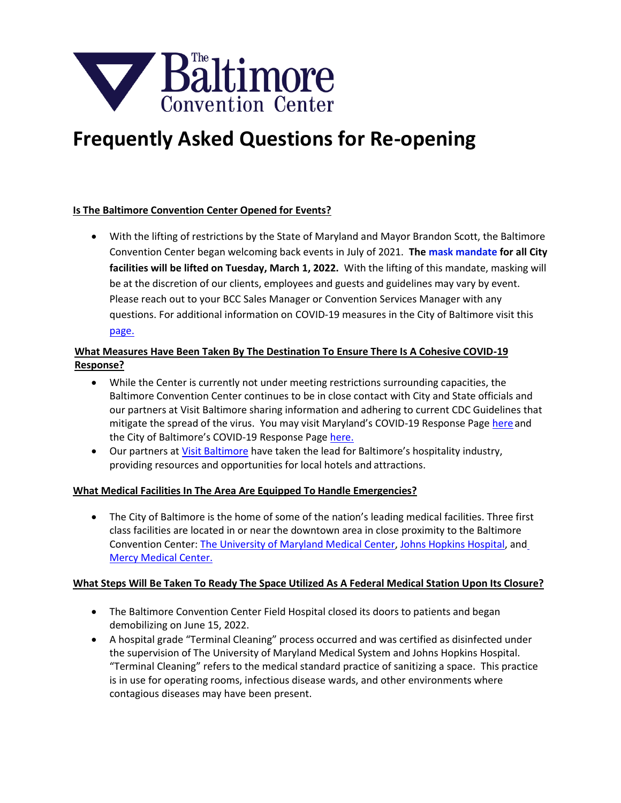

# **Frequently Asked Questions for Re-opening**

#### **Is The Baltimore Convention Center Opened for Events?**

• With the lifting of restrictions by the State of Maryland and Mayor Brandon Scott, the Baltimore Convention Center began welcoming back events in July of 2021. **The mask mandate for all City facilities will be lifted on Tuesday, March 1, 2022.** With the lifting of this mandate, masking will be at the discretion of our clients, employees and guests and guidelines may vary by event. Please reach out to your BCC Sales Manager or Convention Services Manager with any questions. For additi[onal inf](https://coronavirus.baltimorecity.gov/)ormation on COVID-19 measures in the City of Baltimore visit this page.

# **What Measures Have Been Taken By The Destination To Ensure There Is A Cohesive COVID-19 Response?**

- While the Center is currently not under meeting restrictions surrounding capacities, the Baltimore Convention Center continues to be in close contact with City and State officials and our partners at Visit Baltimore sharing information and adhering to current CDC Guidelines that mitigate the spread of the virus. You may visit Maryland's COVID-19 Response Page here and the City of Baltimore's COVID-19 Response Pag[e here.](https://coronavirus.baltimorecity.gov/)
- Our partners at [Visit Baltimore](https://baltimore.org/info/updates-coronavirus-covid-19) have taken the lead for Baltimore's hospitality industry, providing resources and opportunities for local hotels and attractions.

## **What Medical Facilities In The Area Are Equipped To Handle Emergencies?**

• The City of Baltimore is the home of some of the nation's leading medical facilities. Three first class facilities are located in or near the downtown area in close proximity to the Baltimore Convention Center: [The University of Maryland Medical Center,](https://www.umms.org/ummc) [Johns Hopkins Hospital,](https://www.hopkinsmedicine.org/the_johns_hopkins_hospital/) and Mercy Medical Center.

#### **What Steps Will Be Taken To Ready The Space Utilized As A Federal Medical Station Upon Its Closure?**

- The Baltimore Convention Center Field Hospital closed its doors to patients and began demobilizing on June 15, 2022.
- A hospital grade "Terminal Cleaning" process occurred and was certified as disinfected under the supervision of The University of Maryland Medical System and Johns Hopkins Hospital. "Terminal Cleaning" refers to the medical standard practice of sanitizing a space. This practice is in use for operating rooms, infectious disease wards, and other environments where contagious diseases may have been present.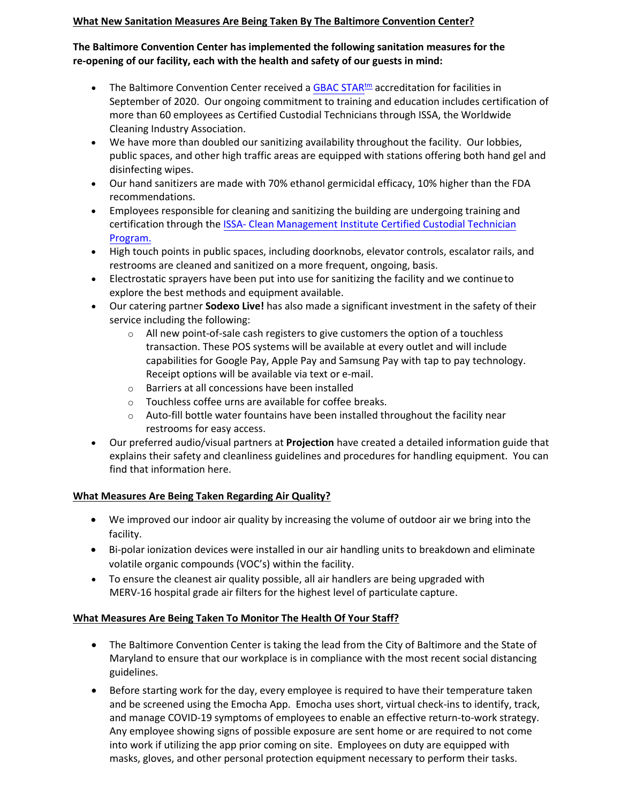## **What New Sanitation Measures Are Being Taken By The Baltimore Convention Center?**

## **The Baltimore Convention Center has implemented the following sanitation measures for the re-opening of our facility, each with the health and safety of our guests in mind:**

- The Baltimore Convention Center received [a GBAC STAR](https://gbac.issa.com/issa-gbac-star-facility-accreditation/) $km$  accreditation for facilities in September of 2020. Our ongoing commitment to training and education includes certification of more than 60 employees as Certified Custodial Technicians through ISSA, the Worldwide Cleaning Industry Association.
- We have more than doubled our sanitizing availability throughout the facility. Our lobbies, public spaces, and other high traffic areas are equipped with stations offering both hand gel and disinfecting wipes.
- Our hand sanitizers are made with 70% ethanol germicidal efficacy, 10% higher than the FDA recommendations.
- Employees responsible for cleaning and sanitizing the building are undergoing training and certification through the [ISSA- Clean Management Institute Certified Custodial Technician](https://www.issa.com/certification-standards/cleaning-management-institute/custodial-training/custodial-technician-training-program) [Program.](https://www.issa.com/certification-standards/cleaning-management-institute/custodial-training/custodial-technician-training-program)
- High touch points in public spaces, including doorknobs, elevator controls, escalator rails, and restrooms are cleaned and sanitized on a more frequent, ongoing, basis.
- Electrostatic sprayers have been put into use for sanitizing the facility and we continue to explore the best methods and equipment available.
- Our catering partner **Sodexo Live!** has also made a significant investment in the safety of their service including the following:
	- $\circ$  All new point-of-sale cash registers to give customers the option of a touchless transaction. These POS systems will be available at every outlet and will include capabilities for Google Pay, Apple Pay and Samsung Pay with tap to pay technology. Receipt options will be available via text or e-mail.
	- o Barriers at all concessions have been installed
	- o Touchless coffee urns are available for coffee breaks.
	- $\circ$  Auto-fill bottle water fountains have been installed throughout the facility near restrooms for easy access.
- Our preferred audio/visual partners at **Projection** have created a detailed information guide that explains their safety and cleanliness guidelines and procedures for handling equipment. You can find that information here.

## **What Measures Are Being Taken Regarding Air Quality?**

- We improved our indoor air quality by increasing the volume of outdoor air we bring into the facility.
- Bi-polar ionization devices were installed in our air handling units to breakdown and eliminate volatile organic compounds (VOC's) within the facility.
- To ensure the cleanest air quality possible, all air handlers are being upgraded with MERV-16 hospital grade air filters for the highest level of particulate capture.

## **What Measures Are Being Taken To Monitor The Health Of Your Staff?**

- The Baltimore Convention Center is taking the lead from the City of Baltimore and the State of Maryland to ensure that our workplace is in compliance with the most recent social distancing guidelines.
- Before starting work for the day, every employee is required to have their temperature taken and be screened using the Emocha App. Emocha uses short, virtual check-ins to identify, track, and manage COVID-19 symptoms of employees to enable an effective return-to-work strategy. Any employee showing signs of possible exposure are sent home or are required to not come into work if utilizing the app prior coming on site. Employees on duty are equipped with masks, gloves, and other personal protection equipment necessary to perform their tasks.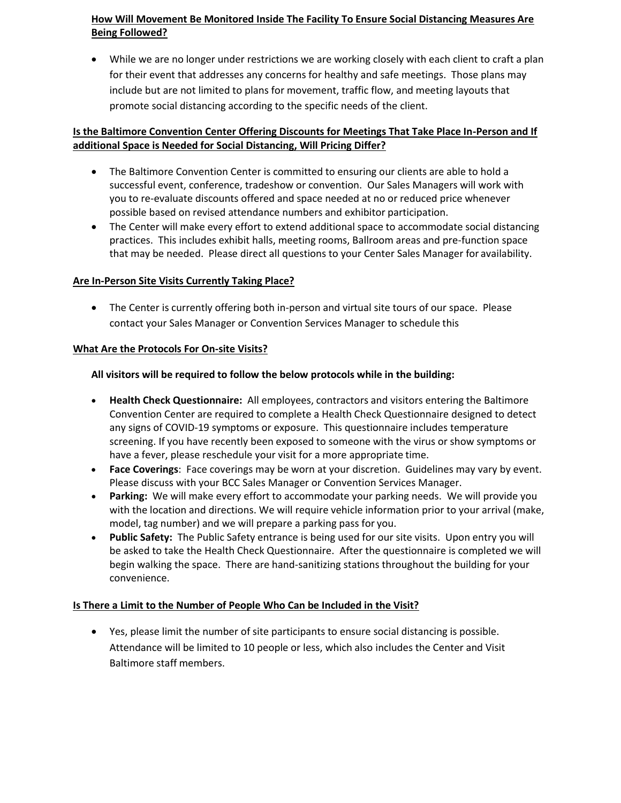# **How Will Movement Be Monitored Inside The Facility To Ensure Social Distancing Measures Are Being Followed?**

• While we are no longer under restrictions we are working closely with each client to craft a plan for their event that addresses any concerns for healthy and safe meetings. Those plans may include but are not limited to plans for movement, traffic flow, and meeting layouts that promote social distancing according to the specific needs of the client.

## **Is the Baltimore Convention Center Offering Discounts for Meetings That Take Place In-Person and If additional Space is Needed for Social Distancing, Will Pricing Differ?**

- The Baltimore Convention Center is committed to ensuring our clients are able to hold a successful event, conference, tradeshow or convention. Our Sales Managers will work with you to re-evaluate discounts offered and space needed at no or reduced price whenever possible based on revised attendance numbers and exhibitor participation.
- The Center will make every effort to extend additional space to accommodate social distancing practices. This includes exhibit halls, meeting rooms, Ballroom areas and pre-function space that may be needed. Please direct all questions to your Center Sales Manager for availability.

#### **Are In-Person Site Visits Currently Taking Place?**

• The Center is currently offering both in-person and virtual site tours of our space. Please contact your Sales Manager or Convention Services Manager to schedule this

#### **What Are the Protocols For On-site Visits?**

#### **All visitors will be required to follow the below protocols while in the building:**

- **Health Check Questionnaire:** All employees, contractors and visitors entering the Baltimore Convention Center are required to complete a Health Check Questionnaire designed to detect any signs of COVID-19 symptoms or exposure. This questionnaire includes temperature screening. If you have recently been exposed to someone with the virus or show symptoms or have a fever, please reschedule your visit for a more appropriate time.
- **Face Coverings**: Face coverings may be worn at your discretion. Guidelines may vary by event. Please discuss with your BCC Sales Manager or Convention Services Manager.
- **Parking:** We will make every effort to accommodate your parking needs. We will provide you with the location and directions. We will require vehicle information prior to your arrival (make, model, tag number) and we will prepare a parking pass for you.
- **Public Safety:** The Public Safety entrance is being used for our site visits. Upon entry you will be asked to take the Health Check Questionnaire. After the questionnaire is completed we will begin walking the space. There are hand-sanitizing stations throughout the building for your convenience.

## **Is There a Limit to the Number of People Who Can be Included in the Visit?**

• Yes, please limit the number of site participants to ensure social distancing is possible. Attendance will be limited to 10 people or less, which also includes the Center and Visit Baltimore staff members.